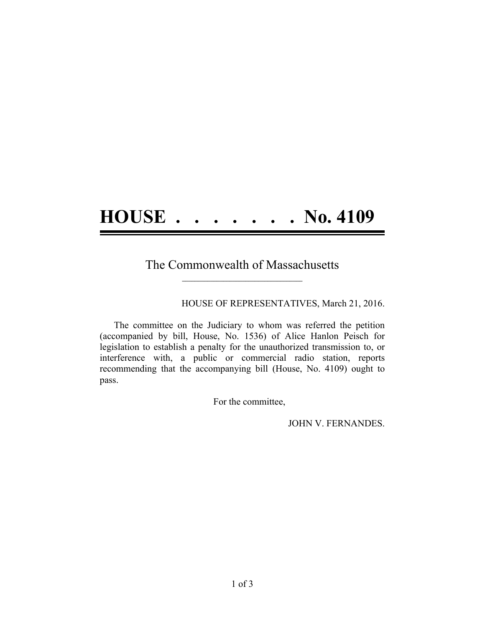## **HOUSE . . . . . . . No. 4109**

## The Commonwealth of Massachusetts  $\mathcal{L}=\{1,2,3,4,5\}$

HOUSE OF REPRESENTATIVES, March 21, 2016.

The committee on the Judiciary to whom was referred the petition (accompanied by bill, House, No. 1536) of Alice Hanlon Peisch for legislation to establish a penalty for the unauthorized transmission to, or interference with, a public or commercial radio station, reports recommending that the accompanying bill (House, No. 4109) ought to pass.

For the committee,

JOHN V. FERNANDES.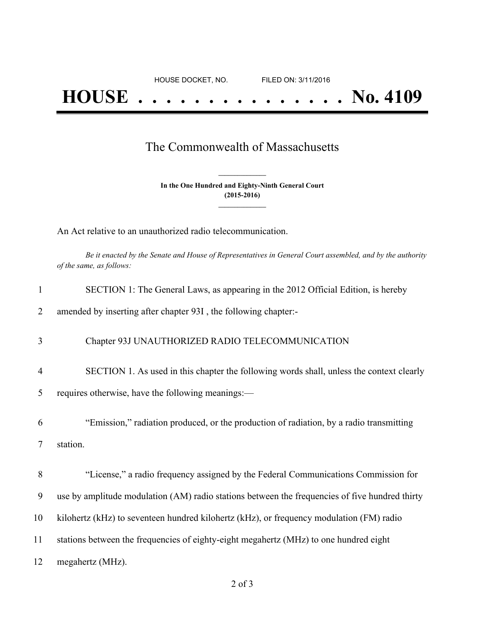## The Commonwealth of Massachusetts

**In the One Hundred and Eighty-Ninth General Court (2015-2016) \_\_\_\_\_\_\_\_\_\_\_\_\_\_\_**

**\_\_\_\_\_\_\_\_\_\_\_\_\_\_\_**

An Act relative to an unauthorized radio telecommunication.

Be it enacted by the Senate and House of Representatives in General Court assembled, and by the authority *of the same, as follows:*

| 1              | SECTION 1: The General Laws, as appearing in the 2012 Official Edition, is hereby              |
|----------------|------------------------------------------------------------------------------------------------|
| 2              | amended by inserting after chapter 93I, the following chapter:-                                |
| 3              | Chapter 93J UNAUTHORIZED RADIO TELECOMMUNICATION                                               |
| $\overline{4}$ | SECTION 1. As used in this chapter the following words shall, unless the context clearly       |
| 5              | requires otherwise, have the following meanings:—                                              |
| 6              | "Emission," radiation produced, or the production of radiation, by a radio transmitting        |
| 7              | station.                                                                                       |
| 8              | "License," a radio frequency assigned by the Federal Communications Commission for             |
| 9              | use by amplitude modulation (AM) radio stations between the frequencies of five hundred thirty |
| 10             | kilohertz (kHz) to seventeen hundred kilohertz (kHz), or frequency modulation (FM) radio       |
| 11             | stations between the frequencies of eighty-eight megahertz (MHz) to one hundred eight          |
| 12             | megahertz (MHz).                                                                               |